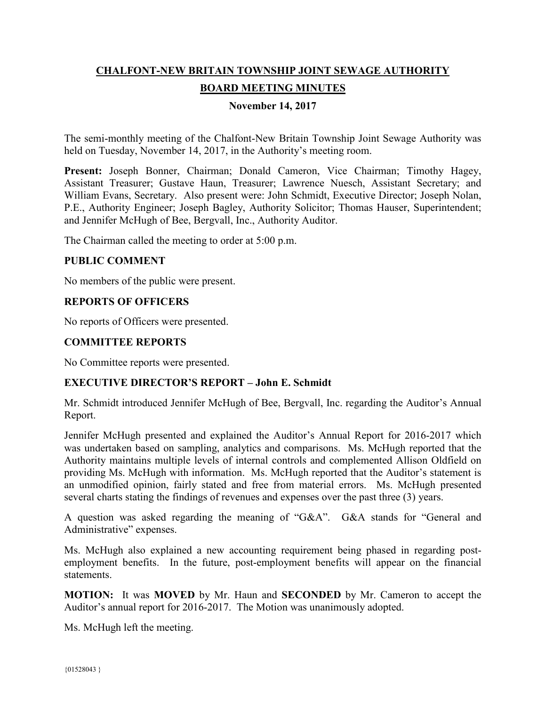# **CHALFONT-NEW BRITAIN TOWNSHIP JOINT SEWAGE AUTHORITY BOARD MEETING MINUTES**

# **November 14, 2017**

The semi-monthly meeting of the Chalfont-New Britain Township Joint Sewage Authority was held on Tuesday, November 14, 2017, in the Authority's meeting room.

Present: Joseph Bonner, Chairman; Donald Cameron, Vice Chairman; Timothy Hagey, Assistant Treasurer; Gustave Haun, Treasurer; Lawrence Nuesch, Assistant Secretary; and William Evans, Secretary. Also present were: John Schmidt, Executive Director; Joseph Nolan, P.E., Authority Engineer; Joseph Bagley, Authority Solicitor; Thomas Hauser, Superintendent; and Jennifer McHugh of Bee, Bergvall, Inc., Authority Auditor.

The Chairman called the meeting to order at 5:00 p.m.

#### **PUBLIC COMMENT**

No members of the public were present.

## **REPORTS OF OFFICERS**

No reports of Officers were presented.

#### **COMMITTEE REPORTS**

No Committee reports were presented.

#### **EXECUTIVE DIRECTOR'S REPORT – John E. Schmidt**

Mr. Schmidt introduced Jennifer McHugh of Bee, Bergvall, Inc. regarding the Auditor's Annual Report.

Jennifer McHugh presented and explained the Auditor's Annual Report for 2016-2017 which was undertaken based on sampling, analytics and comparisons. Ms. McHugh reported that the Authority maintains multiple levels of internal controls and complemented Allison Oldfield on providing Ms. McHugh with information. Ms. McHugh reported that the Auditor's statement is an unmodified opinion, fairly stated and free from material errors. Ms. McHugh presented several charts stating the findings of revenues and expenses over the past three (3) years.

A question was asked regarding the meaning of "G&A". G&A stands for "General and Administrative" expenses.

Ms. McHugh also explained a new accounting requirement being phased in regarding postemployment benefits. In the future, post-employment benefits will appear on the financial statements.

**MOTION:** It was **MOVED** by Mr. Haun and **SECONDED** by Mr. Cameron to accept the Auditor's annual report for 2016-2017. The Motion was unanimously adopted.

Ms. McHugh left the meeting.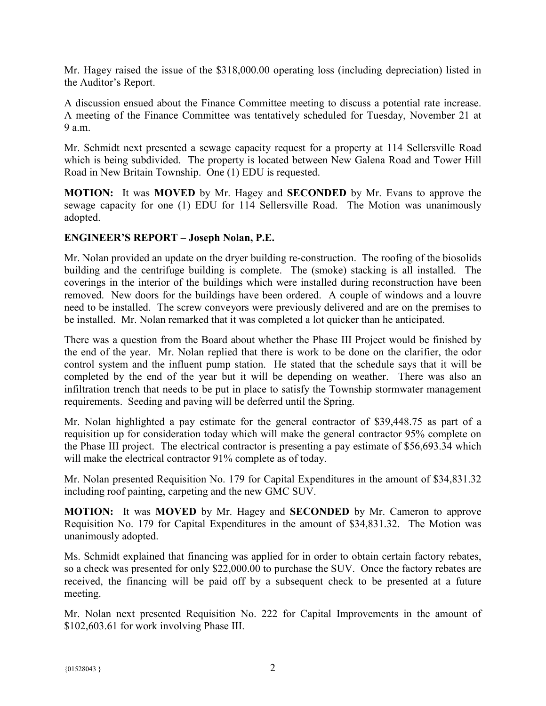Mr. Hagey raised the issue of the \$318,000.00 operating loss (including depreciation) listed in the Auditor's Report.

A discussion ensued about the Finance Committee meeting to discuss a potential rate increase. A meeting of the Finance Committee was tentatively scheduled for Tuesday, November 21 at  $9a \, \text{m}$ 

Mr. Schmidt next presented a sewage capacity request for a property at 114 Sellersville Road which is being subdivided. The property is located between New Galena Road and Tower Hill Road in New Britain Township. One (1) EDU is requested.

**MOTION:** It was **MOVED** by Mr. Hagey and **SECONDED** by Mr. Evans to approve the sewage capacity for one (1) EDU for 114 Sellersville Road. The Motion was unanimously adopted.

## **ENGINEER'S REPORT – Joseph Nolan, P.E.**

Mr. Nolan provided an update on the dryer building re-construction. The roofing of the biosolids building and the centrifuge building is complete. The (smoke) stacking is all installed. The coverings in the interior of the buildings which were installed during reconstruction have been removed. New doors for the buildings have been ordered. A couple of windows and a louvre need to be installed. The screw conveyors were previously delivered and are on the premises to be installed. Mr. Nolan remarked that it was completed a lot quicker than he anticipated.

There was a question from the Board about whether the Phase III Project would be finished by the end of the year. Mr. Nolan replied that there is work to be done on the clarifier, the odor control system and the influent pump station. He stated that the schedule says that it will be completed by the end of the year but it will be depending on weather. There was also an infiltration trench that needs to be put in place to satisfy the Township stormwater management requirements. Seeding and paving will be deferred until the Spring.

Mr. Nolan highlighted a pay estimate for the general contractor of \$39,448.75 as part of a requisition up for consideration today which will make the general contractor 95% complete on the Phase III project. The electrical contractor is presenting a pay estimate of \$56,693.34 which will make the electrical contractor 91% complete as of today.

Mr. Nolan presented Requisition No. 179 for Capital Expenditures in the amount of \$34,831.32 including roof painting, carpeting and the new GMC SUV.

**MOTION:** It was **MOVED** by Mr. Hagey and **SECONDED** by Mr. Cameron to approve Requisition No. 179 for Capital Expenditures in the amount of \$34,831.32. The Motion was unanimously adopted.

Ms. Schmidt explained that financing was applied for in order to obtain certain factory rebates, so a check was presented for only \$22,000.00 to purchase the SUV. Once the factory rebates are received, the financing will be paid off by a subsequent check to be presented at a future meeting.

Mr. Nolan next presented Requisition No. 222 for Capital Improvements in the amount of \$102,603.61 for work involving Phase III.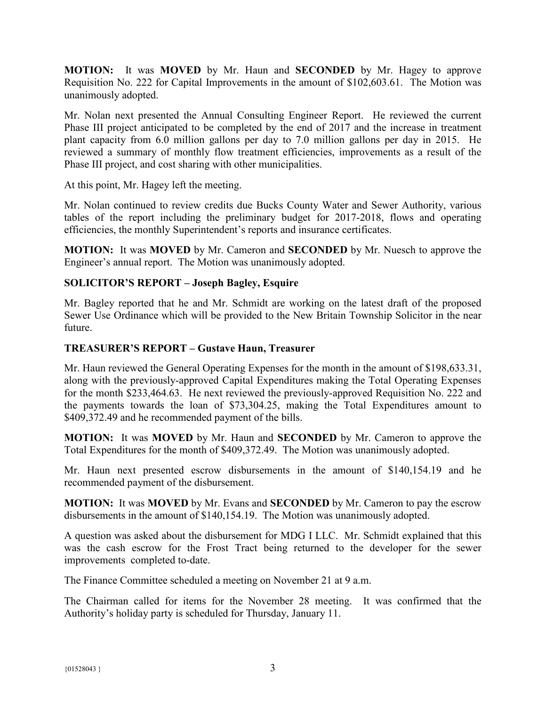**MOTION:** It was **MOVED** by Mr. Haun and **SECONDED** by Mr. Hagey to approve Requisition No. 222 for Capital Improvements in the amount of \$102,603.61. The Motion was unanimously adopted.

Mr. Nolan next presented the Annual Consulting Engineer Report. He reviewed the current Phase III project anticipated to be completed by the end of 2017 and the increase in treatment plant capacity from 6.0 million gallons per day to 7.0 million gallons per day in 2015. He reviewed a summary of monthly flow treatment efficiencies, improvements as a result of the Phase III project, and cost sharing with other municipalities.

At this point, Mr. Hagey left the meeting.

Mr. Nolan continued to review credits due Bucks County Water and Sewer Authority, various tables of the report including the preliminary budget for 2017-2018, flows and operating efficiencies, the monthly Superintendent's reports and insurance certificates.

**MOTION:** It was **MOVED** by Mr. Cameron and **SECONDED** by Mr. Nuesch to approve the Engineer's annual report. The Motion was unanimously adopted.

# **SOLICITOR'S REPORT – Joseph Bagley, Esquire**

Mr. Bagley reported that he and Mr. Schmidt are working on the latest draft of the proposed Sewer Use Ordinance which will be provided to the New Britain Township Solicitor in the near future.

# **TREASURER'S REPORT – Gustave Haun, Treasurer**

Mr. Haun reviewed the General Operating Expenses for the month in the amount of \$198,633.31, along with the previously-approved Capital Expenditures making the Total Operating Expenses for the month \$233,464.63. He next reviewed the previously-approved Requisition No. 222 and the payments towards the loan of \$73,304.25, making the Total Expenditures amount to \$409,372.49 and he recommended payment of the bills.

**MOTION:** It was **MOVED** by Mr. Haun and **SECONDED** by Mr. Cameron to approve the Total Expenditures for the month of \$409,372.49. The Motion was unanimously adopted.

Mr. Haun next presented escrow disbursements in the amount of \$140,154.19 and he recommended payment of the disbursement.

**MOTION:** It was **MOVED** by Mr. Evans and **SECONDED** by Mr. Cameron to pay the escrow disbursements in the amount of \$140,154.19. The Motion was unanimously adopted.

A question was asked about the disbursement for MDG I LLC. Mr. Schmidt explained that this was the cash escrow for the Frost Tract being returned to the developer for the sewer improvements completed to-date.

The Finance Committee scheduled a meeting on November 21 at 9 a.m.

The Chairman called for items for the November 28 meeting. It was confirmed that the Authority's holiday party is scheduled for Thursday, January 11.